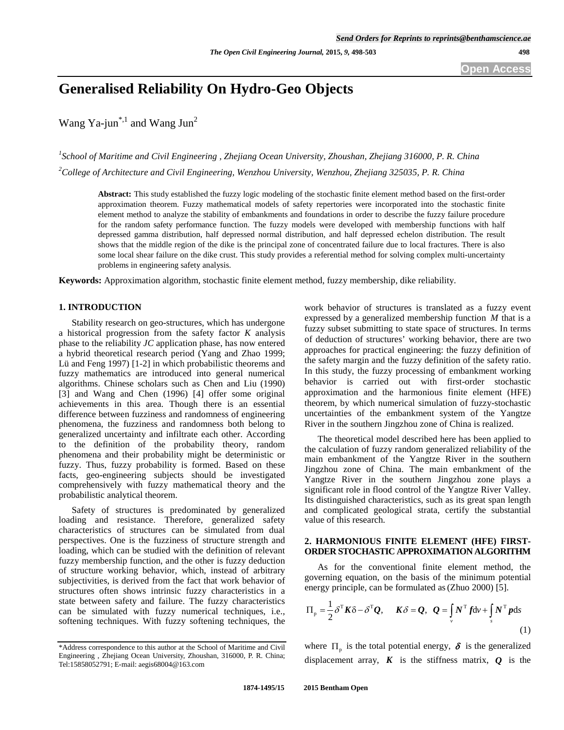# **Generalised Reliability On Hydro-Geo Objects**

Wang Ya-jun<sup>\*,1</sup> and Wang Jun<sup>2</sup>

*1 [School of Maritime and Civil Engineering ,](http://61.153.216.111/cbxy/english/index.asp) Zhejiang Ocean University, Zhoushan, Zhejiang 316000, P. R. China 2 College of Architecture and Civil Engineering, Wenzhou University, Wenzhou, Zhejiang 325035, P. R. China*

**Abstract:** This study established the fuzzy logic modeling of the stochastic finite element method based on the first-order approximation theorem. Fuzzy mathematical models of safety repertories were incorporated into the stochastic finite element method to analyze the stability of embankments and foundations in order to describe the fuzzy failure procedure for the random safety performance function. The fuzzy models were developed with membership functions with half depressed gamma distribution, half depressed normal distribution, and half depressed echelon distribution. The result shows that the middle region of the dike is the principal zone of concentrated failure due to local fractures. There is also some local shear failure on the dike crust. This study provides a referential method for solving complex multi-uncertainty problems in engineering safety analysis.

**Keywords:** Approximation algorithm, stochastic finite element method, fuzzy membership, dike reliability.

# **1. INTRODUCTION**

Stability research on geo-structures, which has undergone a historical progression from the safety factor *K* analysis phase to the reliability *JC* application phase, has now entered a hybrid theoretical research period (Yang and Zhao 1999; Lü and Feng 1997) [1-2] in which probabilistic theorems and fuzzy mathematics are introduced into general numerical algorithms. Chinese scholars such as Chen and Liu (1990) [3] and Wang and Chen (1996) [4] offer some original achievements in this area. Though there is an essential difference between fuzziness and randomness of engineering phenomena, the fuzziness and randomness both belong to generalized uncertainty and infiltrate each other. According to the definition of the probability theory, random phenomena and their probability might be deterministic or fuzzy. Thus, fuzzy probability is formed. Based on these facts, geo-engineering subjects should be investigated comprehensively with fuzzy mathematical theory and the probabilistic analytical theorem.

Safety of structures is predominated by generalized loading and resistance. Therefore, generalized safety characteristics of structures can be simulated from dual perspectives. One is the fuzziness of structure strength and loading, which can be studied with the definition of relevant fuzzy membership function, and the other is fuzzy deduction of structure working behavior, which, instead of arbitrary subjectivities, is derived from the fact that work behavior of structures often shows intrinsic fuzzy characteristics in a state between safety and failure. The fuzzy characteristics can be simulated with fuzzy numerical techniques, i.e., softening techniques. With fuzzy softening techniques, the

work behavior of structures is translated as a fuzzy event expressed by a generalized membership function *M* that is a fuzzy subset submitting to state space of structures. In terms of deduction of structures' working behavior, there are two approaches for practical engineering: the fuzzy definition of the safety margin and the fuzzy definition of the safety ratio. In this study, the fuzzy processing of embankment working behavior is carried out with first-order stochastic approximation and the harmonious finite element (HFE) theorem, by which numerical simulation of fuzzy-stochastic uncertainties of the embankment system of the Yangtze River in the southern Jingzhou zone of China is realized.

The theoretical model described here has been applied to the calculation of fuzzy random generalized reliability of the main embankment of the Yangtze River in the southern Jingzhou zone of China. The main embankment of the Yangtze River in the southern Jingzhou zone plays a significant role in flood control of the Yangtze River Valley. Its distinguished characteristics, such as its great span length and complicated geological strata, certify the substantial value of this research.

### **2. HARMONIOUS FINITE ELEMENT (HFE) FIRST-ORDER STOCHASTIC APPROXIMATION ALGORITHM**

As for the conventional finite element method, the governing equation, on the basis of the minimum potential energy principle, can be formulated as (Zhuo 2000) [5].

$$
\Pi_{p} = \frac{1}{2} \delta^{T} K \delta - \delta^{T} Q, \quad K \delta = Q, \quad Q = \int_{v} N^{T} f dv + \int_{s} N^{T} p ds
$$
\n(1)

where  $\Pi_{p}$  is the total potential energy,  $\delta$  is the generalized displacement array,  $\boldsymbol{K}$  is the stiffness matrix,  $\boldsymbol{Q}$  is the

<sup>\*</sup>Address correspondence to this author at the [School of Maritime and Civil](http://61.153.216.111/cbxy/english/index.asp)  [Engineering ,](http://61.153.216.111/cbxy/english/index.asp) Zhejiang Ocean University, Zhoushan, 316000, P. R. China; Tel:15858052791; E-mail: aegis68004@163.com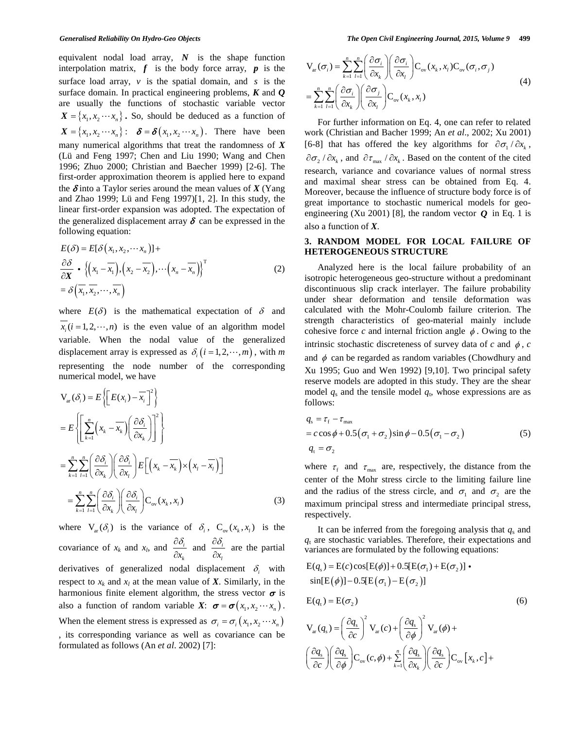equivalent nodal load array, *N* is the shape function interpolation matrix,  $f$  is the body force array,  $p$  is the surface load array, *v* is the spatial domain, and *s* is the surface domain. In practical engineering problems, *K* and *Q*  are usually the functions of stochastic variable vector  $X = \{x_1, x_2 \cdots x_n\}$ . So, should be deduced as a function of  $X = \{x_1, x_2 \cdots x_n\}$ :  $\delta = \delta(x_1, x_2 \cdots x_n)$ . There have been many numerical algorithms that treat the randomness of *X* (Lü and Feng 1997; Chen and Liu 1990; Wang and Chen 1996; Zhuo 2000; Christian and Baecher 1999) [2-6]. The first-order approximation theorem is applied here to expand the  $\delta$  into a Taylor series around the mean values of  $X$  (Yang and Zhao 1999; Lü and Feng 1997)[1, 2]. In this study, the linear first-order expansion was adopted. The expectation of the generalized displacement array  $\delta$  can be expressed in the following equation:

$$
E(\delta) = E[\delta(x_1, x_2, \cdots x_n)] +
$$
  
\n
$$
\frac{\partial \delta}{\partial \mathbf{X}} \cdot \left\{ (x_1 - \overline{x_1}), (x_2 - \overline{x_2}), \cdots (x_n - \overline{x_n}) \right\}^T
$$
  
\n
$$
= \delta \left( \overline{x_1}, \overline{x_2}, \cdots, \overline{x_n} \right)
$$
\n(2)

where  $E(\delta)$  is the mathematical expectation of  $\delta$  and  $x_i$  ( $i = 1, 2, \dots, n$ ) is the even value of an algorithm model variable. When the nodal value of the generalized displacement array is expressed as  $\delta_i$  ( $i = 1, 2, \dots, m$ ), with *m* representing the node number of the corresponding numerical model, we have

$$
V_{ar}(\delta_{i}) = E\left\{ \left[ E(x_{i}) - \overline{x_{i}} \right]^{2} \right\}
$$
  
\n
$$
= E\left\{ \left[ \sum_{k=1}^{n} \left( x_{k} - \overline{x_{k}} \right) \left( \frac{\partial \delta_{i}}{\partial x_{k}} \right) \right]^{2} \right\}
$$
  
\n
$$
= \sum_{k=1}^{n} \sum_{l=1}^{n} \left( \frac{\partial \delta_{i}}{\partial x_{k}} \right) \left( \frac{\partial \delta_{i}}{\partial x_{l}} \right) E\left[ \left( x_{k} - \overline{x_{k}} \right) \times \left( x_{l} - \overline{x_{l}} \right) \right]
$$
  
\n
$$
= \sum_{k=1}^{n} \sum_{l=1}^{n} \left( \frac{\partial \delta_{i}}{\partial x_{k}} \right) \left( \frac{\partial \delta_{i}}{\partial x_{l}} \right) C_{ov}(x_{k}, x_{l}) \qquad (3)
$$

where  $V_{\text{ar}}(\delta_i)$  is the variance of  $\delta_i$ ,  $C_{\text{ov}}(x_k, x_i)$  is the covariance of  $x_k$  and  $x_l$ , and  $\frac{\partial u_i}{\partial x_l}$ *k x*  $\partial \delta_{\scriptscriptstyle\! j}$  $\frac{\partial u_i}{\partial x_k}$  and  $\frac{\partial v_i}{\partial x_l}$ *l x*  $\frac{\partial \delta_i}{\partial x_i}$  are the partial derivatives of generalized nodal displacement  $\delta$ , with respect to  $x_k$  and  $x_l$  at the mean value of  $X$ . Similarly, in the harmonious finite element algorithm, the stress vector  $\sigma$  is also a function of random variable *X*:  $\boldsymbol{\sigma} = \boldsymbol{\sigma}(x_1, x_2 \cdots x_n)$ . When the element stress is expressed as  $\sigma_i = \sigma_i (x_1, x_2 \cdots x_n)$ , its corresponding variance as well as covariance can be formulated as follows (An *et al*. 2002) [7]:

$$
V_{\text{ar}}(\sigma_i) = \sum_{k=1}^{n} \sum_{l=1}^{n} \left( \frac{\partial \sigma_i}{\partial x_k} \right) \left( \frac{\partial \sigma_i}{\partial x_l} \right) C_{\text{ov}}(x_k, x_l) C_{\text{ov}}(\sigma_i, \sigma_j)
$$
  
= 
$$
\sum_{k=1}^{n} \sum_{l=1}^{n} \left( \frac{\partial \sigma_i}{\partial x_k} \right) \left( \frac{\partial \sigma_j}{\partial x_l} \right) C_{\text{ov}}(x_k, x_l)
$$
(4)

For further information on Eq. 4, one can refer to related work (Christian and Bacher 1999; An *et al*., 2002; Xu 2001) [6-8] that has offered the key algorithms for  $\partial \sigma_1 / \partial x_k$ ,  $\partial \sigma_2 / \partial x_k$ , and  $\partial \tau_{\text{max}} / \partial x_k$ . Based on the content of the cited research, variance and covariance values of normal stress and maximal shear stress can be obtained from Eq. 4. Moreover, because the influence of structure body force is of great importance to stochastic numerical models for geoengineering (Xu 2001) [8], the random vector  $Q$  in Eq. 1 is also a function of *X*.

# **3. RANDOM MODEL FOR LOCAL FAILURE OF HETEROGENEOUS STRUCTURE**

Analyzed here is the local failure probability of an isotropic heterogeneous geo-structure without a predominant discontinuous slip crack interlayer. The failure probability under shear deformation and tensile deformation was calculated with the Mohr-Coulomb failure criterion. The strength characteristics of geo-material mainly include cohesive force  $c$  and internal friction angle  $\phi$ . Owing to the intrinsic stochastic discreteness of survey data of  $c$  and  $\phi$ ,  $c$ and  $\phi$  can be regarded as random variables (Chowdhury and Xu 1995; Guo and Wen 1992) [9,10]. Two principal safety reserve models are adopted in this study. They are the shear model  $q_s$  and the tensile model  $q_t$ , whose expressions are as follows:

$$
q_s = \tau_f - \tau_{\text{max}}
$$
  
=  $c \cos \phi + 0.5(\sigma_1 + \sigma_2) \sin \phi - 0.5(\sigma_1 - \sigma_2)$  (5)  
 $q_t = \sigma_2$ 

where  $\tau_{\rm f}$  and  $\tau_{\rm max}$  are, respectively, the distance from the center of the Mohr stress circle to the limiting failure line and the radius of the stress circle, and  $\sigma_1$  and  $\sigma_2$  are the maximum principal stress and intermediate principal stress, respectively.

It can be inferred from the foregoing analysis that  $q_s$  and  $q_t$  are stochastic variables. Therefore, their expectations and variances are formulated by the following equations:

$$
E(q_s) = E(c)\cos[E(\phi)] + 0.5[E(\sigma_1) + E(\sigma_2)]
$$
  
\n
$$
\sin[E(\phi)] - 0.5[E(\sigma_1) - E(\sigma_2)]
$$
  
\n
$$
E(q_t) = E(\sigma_2)
$$
  
\n
$$
V_{ar}(q_s) = \left(\frac{\partial q_s}{\partial c}\right)^2 V_{ar}(c) + \left(\frac{\partial q_s}{\partial \phi}\right)^2 V_{ar}(\phi) +
$$
  
\n
$$
\left(\frac{\partial q_s}{\partial c}\right) \left(\frac{\partial q_s}{\partial \phi}\right) C_{ov}(c, \phi) + \sum_{k=1}^n \left(\frac{\partial q_s}{\partial x_k}\right) \left(\frac{\partial q_s}{\partial c}\right) C_{ov}[x_k, c] +
$$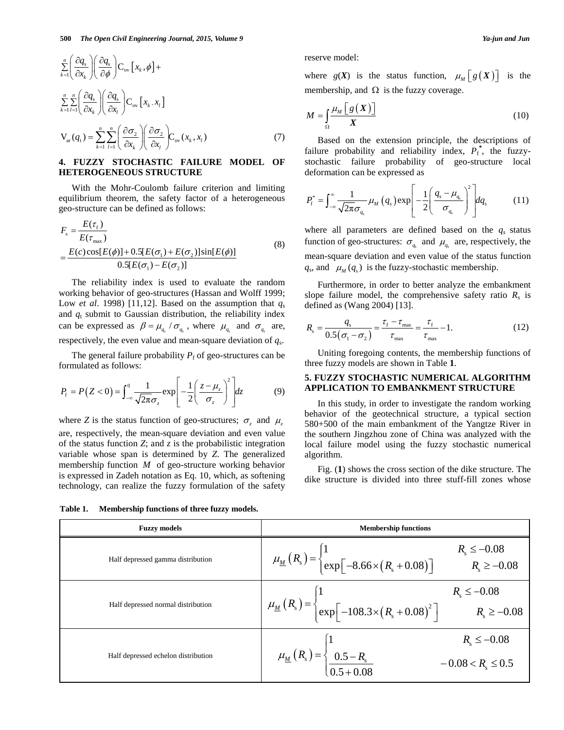$$
\sum_{k=1}^{n} \left( \frac{\partial q_s}{\partial x_k} \right) \left( \frac{\partial q_s}{\partial \phi} \right) C_{ov} \left[ x_k, \phi \right] +
$$
\n
$$
\sum_{k=1}^{n} \sum_{l=1}^{n} \left( \frac{\partial q_s}{\partial x_k} \right) \left( \frac{\partial q_s}{\partial x_l} \right) C_{ov} \left[ x_k, x_l \right]
$$
\n
$$
V_{av}(q_t) = \sum_{k=1}^{n} \sum_{l=1}^{n} \left( \frac{\partial \sigma_2}{\partial x_k} \right) \left( \frac{\partial \sigma_2}{\partial x_l} \right) C_{ov}(x_k, x_l)
$$
\n(7)

### **4. FUZZY STOCHASTIC FAILURE MODEL OF HETEROGENEOUS STRUCTURE**

With the Mohr-Coulomb failure criterion and limiting equilibrium theorem, the safety factor of a heterogeneous geo-structure can be defined as follows:

$$
F_s = \frac{E(\tau_f)}{E(\tau_{\text{max}})}
$$
  
= 
$$
\frac{E(c)\cos[E(\phi)] + 0.5[E(\sigma_1) + E(\sigma_2)]\sin[E(\phi)]}{0.5[E(\sigma_1) - E(\sigma_2)]}
$$
 (8)

The reliability index is used to evaluate the random working behavior of geo-structures (Hassan and Wolff 1999; Low *et al.* 1998) [11,12]. Based on the assumption that  $q_s$ and  $q_t$  submit to Gaussian distribution, the reliability index can be expressed as  $\beta = \mu_{q} / \sigma_{q}$ , where  $\mu_{q}$  and  $\sigma_{q}$  are, respectively, the even value and mean-square deviation of *q*s.

The general failure probability  $P_f$  of geo-structures can be formulated as follows:

$$
P_{\rm f} = P(Z < 0) = \int_{-\infty}^{0} \frac{1}{\sqrt{2\pi}\sigma_z} \exp\left[-\frac{1}{2}\left(\frac{z-\mu_z}{\sigma_z}\right)^2\right] dz \tag{9}
$$

where *Z* is the status function of geo-structures;  $\sigma_z$  and  $\mu_z$ are, respectively, the mean-square deviation and even value of the status function *Z*; and *z* is the probabilistic integration variable whose span is determined by *Z*. The generalized membership function *M* of geo-structure working behavior is expressed in Zadeh notation as Eq. 10, which, as softening technology, can realize the fuzzy formulation of the safety

**Table 1. Membership functions of three fuzzy models.**

reserve model:

where  $g(X)$  is the status function,  $\mu_M[g(X)]$  is the membership, and  $\Omega$  is the fuzzy coverage.

$$
M = \int_{\Omega} \frac{\mu_M \left[ g(X) \right]}{X} \tag{10}
$$

Based on the extension principle, the descriptions of failure probability and reliability index,  $P_f^*$ , the fuzzystochastic failure probability of geo-structure local deformation can be expressed as

$$
P_{\rm f}^* = \int_{-\infty}^{\infty} \frac{1}{\sqrt{2\pi}\sigma_{q_{\rm s}}}\mu_M\left(q_{\rm s}\right) \exp\left[-\frac{1}{2}\left(\frac{q_{\rm s}-\mu_{q_{\rm s}}}{\sigma_{q_{\rm s}}}\right)^2\right] dq_{\rm s} \tag{11}
$$

where all parameters are defined based on the  $q_s$  status function of geo-structures:  $\sigma_{q_s}$  and  $\mu_{q_s}$  are, respectively, the mean-square deviation and even value of the status function  $q_s$ , and  $\mu_M(q_s)$  is the fuzzy-stochastic membership.

Furthermore, in order to better analyze the embankment slope failure model, the comprehensive safety ratio  $R_s$  is defined as (Wang 2004) [13].

$$
R_{\rm s} = \frac{q_{\rm s}}{0.5(\sigma_{\rm l} - \sigma_{\rm 2})} = \frac{\tau_{\rm f} - \tau_{\rm max}}{\tau_{\rm max}} = \frac{\tau_{\rm f}}{\tau_{\rm max}} - 1.
$$
 (12)

Uniting foregoing contents, the membership functions of three fuzzy models are shown in Table **1**.

#### **5. FUZZY STOCHASTIC NUMERICAL ALGORITHM APPLICATION TO EMBANKMENT STRUCTURE**

In this study, in order to investigate the random working behavior of the geotechnical structure, a typical section 580+500 of the main embankment of the Yangtze River in the southern Jingzhou zone of China was analyzed with the local failure model using the fuzzy stochastic numerical algorithm.

Fig. (**1**) shows the cross section of the dike structure. The dike structure is divided into three stuff-fill zones whose

| <b>Fuzzy models</b>                 | <b>Membership functions</b>                                                                                                                                        |
|-------------------------------------|--------------------------------------------------------------------------------------------------------------------------------------------------------------------|
| Half depressed gamma distribution   | $R_s \le -0.08$<br>$R_s \ge -0.08$<br>$\mu_{\underline{M}}(R_{s}) = \begin{cases} 1 \\ exp[-8.66 \times (R_{s} + 0.08)] \end{cases}$                               |
| Half depressed normal distribution  | $\mu_{\underline{M}}(R_s) = \begin{cases} 1 & R_s \leq -0.08 \\ exp[-108.3 \times (R_s + 0.08)^2] & R_s \geq -0.08 \end{cases}$                                    |
| Half depressed echelon distribution | $R_{\rm s} \le -0.08$<br>$\mu_{\underline{M}}(R_{\mathrm{s}}) = \begin{cases} 1 \\ 0.5 - R_{\mathrm{s}} \\ 0.5 + 0.08 \end{cases}$<br>$-0.08 < R_{\rm s} \leq 0.5$ |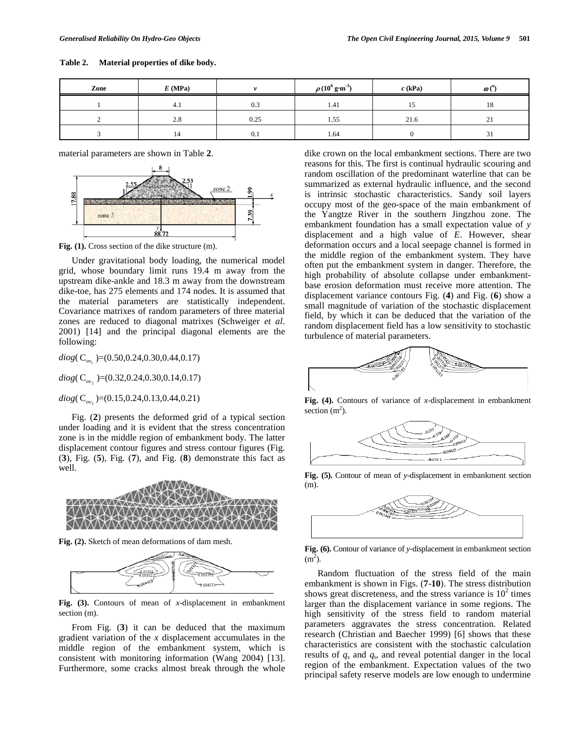**Table 2. Material properties of dike body.**

| Zone | E(MPa) |      | $\rho\, (10^6\,\mathrm{g}\!\cdot\!\mathrm{m}^{3})$ | $c$ (kPa) | $\boldsymbol{\omega}$ ( $^{\circ}$ ) |
|------|--------|------|----------------------------------------------------|-----------|--------------------------------------|
|      | 4.1    | 0.3  | 1.41                                               |           | 10<br>10                             |
|      | 2.8    | 0.25 | 1.55                                               | 21.6      | $\sim$<br>$\sim$ 1                   |
|      |        | 0.1  | 1.64                                               |           | $\sim$<br>31                         |

material parameters are shown in Table **2**.



**Fig. (1).** Cross section of the dike structure (m).

Under gravitational body loading, the numerical model grid, whose boundary limit runs 19.4 m away from the upstream dike-ankle and 18.3 m away from the downstream dike-toe, has 275 elements and 174 nodes. It is assumed that the material parameters are statistically independent. Covariance matrixes of random parameters of three material zones are reduced to diagonal matrixes (Schweiger *et al*. 2001) [14] and the principal diagonal elements are the following:

 $diag(C_{\text{ov}})$  = (0.50,0.24,0.30,0.44,0.17)

 $\text{diag}( C_{\text{ov}_2} ) = (0.32, 0.24, 0.30, 0.14, 0.17)$ 

 $diag(C_{\text{ov}})$ =(0.15,0.24,0.13,0.44,0.21)

Fig. (**2**) presents the deformed grid of a typical section under loading and it is evident that the stress concentration zone is in the middle region of embankment body. The latter displacement contour figures and stress contour figures (Fig. (**3**), Fig. (**5**), Fig. (**7**), and Fig. (**8**) demonstrate this fact as well.



**Fig. (2).** Sketch of mean deformations of dam mesh.



**Fig. (3).** Contours of mean of *x*-displacement in embankment section (m).

From Fig. (**3**) it can be deduced that the maximum gradient variation of the *x* displacement accumulates in the middle region of the embankment system, which is consistent with monitoring information (Wang 2004) [13]. Furthermore, some cracks almost break through the whole dike crown on the local embankment sections. There are two reasons for this. The first is continual hydraulic scouring and random oscillation of the predominant waterline that can be summarized as external hydraulic influence, and the second is intrinsic stochastic characteristics. Sandy soil layers occupy most of the geo-space of the main embankment of the Yangtze River in the southern Jingzhou zone. The embankment foundation has a small expectation value of *y* displacement and a high value of *E*. However, shear deformation occurs and a local seepage channel is formed in the middle region of the embankment system. They have often put the embankment system in danger. Therefore, the high probability of absolute collapse under embankmentbase erosion deformation must receive more attention. The displacement variance contours Fig. (**4**) and Fig. (**6**) show a small magnitude of variation of the stochastic displacement field, by which it can be deduced that the variation of the random displacement field has a low sensitivity to stochastic turbulence of material parameters.



**Fig. (4).** Contours of variance of *x*-displacement in embankment section  $(m<sup>2</sup>)$ .



**Fig. (5).** Contour of mean of *y*-displacement in embankment section (m).



**Fig. (6).** Contour of variance of *y*-displacement in embankment section  $(m<sup>2</sup>)$ .

Random fluctuation of the stress field of the main embankment is shown in Figs. (**7**-**10**). The stress distribution shows great discreteness, and the stress variance is  $10<sup>2</sup>$  times larger than the displacement variance in some regions. The high sensitivity of the stress field to random material parameters aggravates the stress concentration. Related research (Christian and Baecher 1999) [6] shows that these characteristics are consistent with the stochastic calculation results of *q*<sup>s</sup> and *q*t, and reveal potential danger in the local region of the embankment. Expectation values of the two principal safety reserve models are low enough to undermine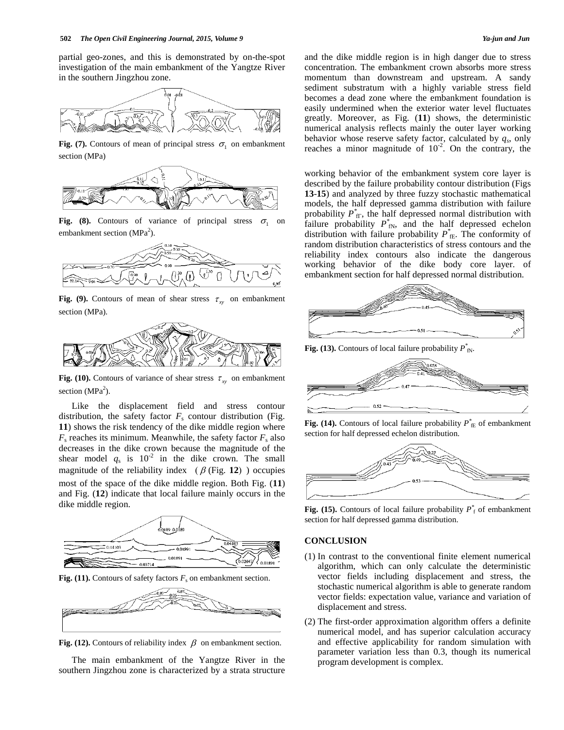partial geo-zones, and this is demonstrated by on-the-spot investigation of the main embankment of the Yangtze River in the southern Jingzhou zone.



**Fig. (7).** Contours of mean of principal stress  $\sigma$ , on embankment section (MPa)



**Fig.** (8). Contours of variance of principal stress  $\sigma_1$  on embankment section (MPa<sup>2</sup>).



**Fig.** (9). Contours of mean of shear stress  $\tau_{xy}$  on embankment section (MPa).



**Fig.** (10). Contours of variance of shear stress  $\tau_{xy}$  on embankment section (MPa<sup>2</sup>).

Like the displacement field and stress contour distribution, the safety factor  $F_s$  contour distribution (Fig. **11**) shows the risk tendency of the dike middle region where  $F<sub>s</sub>$  reaches its minimum. Meanwhile, the safety factor  $F<sub>s</sub>$  also decreases in the dike crown because the magnitude of the shear model  $q_s$  is 10<sup>-2</sup> in the dike crown. The small magnitude of the reliability index  $(\beta$  (Fig. 12) ) occupies most of the space of the dike middle region. Both Fig. (**11**) and Fig. (**12**) indicate that local failure mainly occurs in the dike middle region.



**Fig.** (11). Contours of safety factors  $F_s$  on embankment section.



**Fig.** (12). Contours of reliability index  $\beta$  on embankment section.

The main embankment of the Yangtze River in the southern Jingzhou zone is characterized by a strata structure and the dike middle region is in high danger due to stress concentration. The embankment crown absorbs more stress momentum than downstream and upstream. A sandy sediment substratum with a highly variable stress field becomes a dead zone where the embankment foundation is easily undermined when the exterior water level fluctuates greatly. Moreover, as Fig. (**11**) shows, the deterministic numerical analysis reflects mainly the outer layer working behavior whose reserve safety factor, calculated by  $q_s$ , only reaches a minor magnitude of  $10^{-2}$ . On the contrary, the

working behavior of the embankment system core layer is described by the failure probability contour distribution (Figs **13**-**15**) and analyzed by three fuzzy stochastic mathematical models, the half depressed gamma distribution with failure probability  $P_{\text{f}\Gamma}^{*}$ , the half depressed normal distribution with failure probability  $P^*_{fN}$ , and the half depressed echelon distribution with failure probability  $P^*_{\text{fE}}$ . The conformity of random distribution characteristics of stress contours and the reliability index contours also indicate the dangerous working behavior of the dike body core layer. of embankment section for half depressed normal distribution.



**Fig.** (13). Contours of local failure probability  $P^*_{N}$ .



**Fig.** (14). Contours of local failure probability  $P^*_{\text{fE}}$  of embankment section for half depressed echelon distribution.



**Fig.** (15). Contours of local failure probability  $P_f^*$  of embankment section for half depressed gamma distribution.

# **CONCLUSION**

- (1) In contrast to the conventional finite element numerical algorithm, which can only calculate the deterministic vector fields including displacement and stress, the stochastic numerical algorithm is able to generate random vector fields: expectation value, variance and variation of displacement and stress.
- (2) The first-order approximation algorithm offers a definite numerical model, and has superior calculation accuracy and effective applicability for random simulation with parameter variation less than 0.3, though its numerical program development is complex.